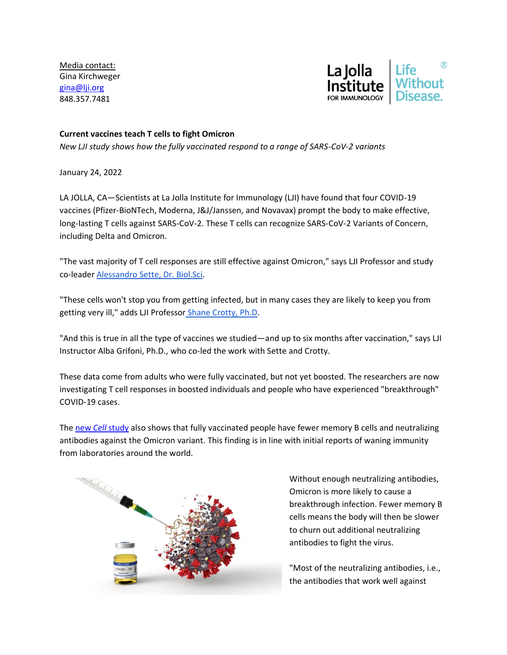Media contact: Gina Kirchweger [gina@lji.org](mailto:gina@lji.org) 848.357.7481



## **Current vaccines teach T cells to fight Omicron**

*New LJI study shows how the fully vaccinated respond to a range of SARS-CoV-2 variants*

January 24, 2022

LA JOLLA, CA—Scientists at La Jolla Institute for Immunology (LJI) have found that four COVID-19 vaccines (Pfizer-BioNTech, Moderna, J&J/Janssen, and Novavax) prompt the body to make effective, long-lasting T cells against SARS-CoV-2. These T cells can recognize SARS-CoV-2 Variants of Concern, including Delta and Omicron.

"The vast majority of T cell responses are still effective against Omicron," says LJI Professor and study co-leade[r Alessandro Sette, Dr. Biol.Sci.](https://www.lji.org/labs/sette/)

"These cells won't stop you from getting infected, but in many cases they are likely to keep you from getting very ill," adds LJI Professor [Shane Crotty, Ph.D.](https://www.lji.org/labs/crotty/)

"And this is true in all the type of vaccines we studied—and up to six months after vaccination," says LJI Instructor Alba Grifoni, Ph.D., who co-led the work with Sette and Crotty.

These data come from adults who were fully vaccinated, but not yet boosted. The researchers are now investigating T cell responses in boosted individuals and people who have experienced "breakthrough" COVID-19 cases.

The new *Cell* [study](https://www.cell.com/cell/fulltext/S0092-8674(22)00073-3) also shows that fully vaccinated people have fewer memory B cells and neutralizing antibodies against the Omicron variant. This finding is in line with initial reports of waning immunity from laboratories around the world.



Without enough neutralizing antibodies, Omicron is more likely to cause a breakthrough infection. Fewer memory B cells means the body will then be slower to churn out additional neutralizing antibodies to fight the virus.

"Most of the neutralizing antibodies, i.e., the antibodies that work well against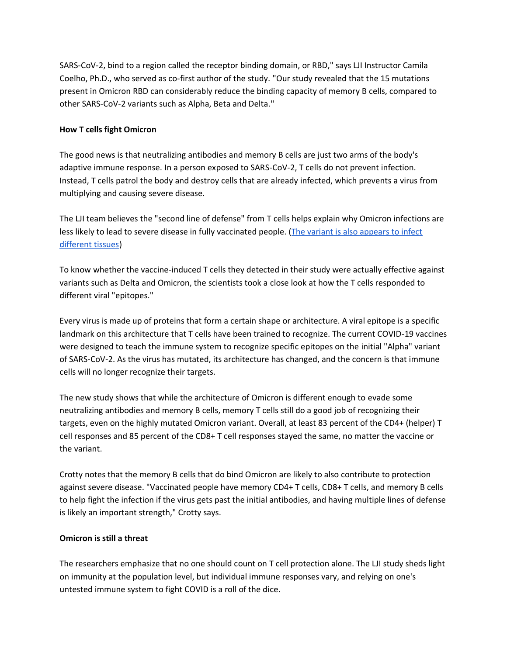SARS-CoV-2, bind to a region called the receptor binding domain, or RBD," says LJI Instructor Camila Coelho, Ph.D., who served as co-first author of the study. "Our study revealed that the 15 mutations present in Omicron RBD can considerably reduce the binding capacity of memory B cells, compared to other SARS-CoV-2 variants such as Alpha, Beta and Delta."

## **How T cells fight Omicron**

The good news is that neutralizing antibodies and memory B cells are just two arms of the body's adaptive immune response. In a person exposed to SARS-CoV-2, T cells do not prevent infection. Instead, T cells patrol the body and destroy cells that are already infected, which prevents a virus from multiplying and causing severe disease.

The LJI team believes the "second line of defense" from T cells helps explain why Omicron infections are less likely to lead to severe disease in fully vaccinated people. [\(The variant is also appears to infect](https://www.nature.com/articles/d41586-022-00007-8)  [different tissues\)](https://www.nature.com/articles/d41586-022-00007-8)

To know whether the vaccine-induced T cells they detected in their study were actually effective against variants such as Delta and Omicron, the scientists took a close look at how the T cells responded to different viral "epitopes."

Every virus is made up of proteins that form a certain shape or architecture. A viral epitope is a specific landmark on this architecture that T cells have been trained to recognize. The current COVID-19 vaccines were designed to teach the immune system to recognize specific epitopes on the initial "Alpha" variant of SARS-CoV-2. As the virus has mutated, its architecture has changed, and the concern is that immune cells will no longer recognize their targets.

The new study shows that while the architecture of Omicron is different enough to evade some neutralizing antibodies and memory B cells, memory T cells still do a good job of recognizing their targets, even on the highly mutated Omicron variant. Overall, at least 83 percent of the CD4+ (helper) T cell responses and 85 percent of the CD8+ T cell responses stayed the same, no matter the vaccine or the variant.

Crotty notes that the memory B cells that do bind Omicron are likely to also contribute to protection against severe disease. "Vaccinated people have memory CD4+ T cells, CD8+ T cells, and memory B cells to help fight the infection if the virus gets past the initial antibodies, and having multiple lines of defense is likely an important strength," Crotty says.

## **Omicron is still a threat**

The researchers emphasize that no one should count on T cell protection alone. The LJI study sheds light on immunity at the population level, but individual immune responses vary, and relying on one's untested immune system to fight COVID is a roll of the dice.